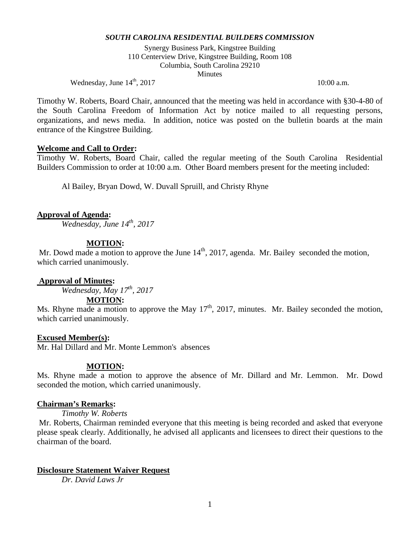Synergy Business Park, Kingstree Building 110 Centerview Drive, Kingstree Building, Room 108 Columbia, South Carolina 29210 **Minutes** 

Wednesday, June  $14^{\text{th}}$ , 2017 10:00 a.m.

Timothy W. Roberts, Board Chair, announced that the meeting was held in accordance with §30-4-80 of the South Carolina Freedom of Information Act by notice mailed to all requesting persons, organizations, and news media. In addition, notice was posted on the bulletin boards at the main entrance of the Kingstree Building.

### **Welcome and Call to Order:**

Timothy W. Roberts, Board Chair, called the regular meeting of the South Carolina Residential Builders Commission to order at 10:00 a.m. Other Board members present for the meeting included:

Al Bailey, Bryan Dowd, W. Duvall Spruill, and Christy Rhyne

## **Approval of Agenda:**

*Wednesday, June 14th, 2017*

### **MOTION:**

Mr. Dowd made a motion to approve the June  $14<sup>th</sup>$ , 2017, agenda. Mr. Bailey seconded the motion, which carried unanimously.

## **Approval of Minutes:**

*Wednesday, May 17th, 2017*

#### **MOTION:**

Ms. Rhyne made a motion to approve the May  $17<sup>th</sup>$ , 2017, minutes. Mr. Bailey seconded the motion, which carried unanimously.

### **Excused Member(s):**

Mr. Hal Dillard and Mr. Monte Lemmon's absences

## **MOTION:**

Ms. Rhyne made a motion to approve the absence of Mr. Dillard and Mr. Lemmon. Mr. Dowd seconded the motion, which carried unanimously.

#### **Chairman's Remarks:**

*Timothy W. Roberts*

Mr. Roberts, Chairman reminded everyone that this meeting is being recorded and asked that everyone please speak clearly. Additionally, he advised all applicants and licensees to direct their questions to the chairman of the board.

## **Disclosure Statement Waiver Request**

*Dr. David Laws Jr*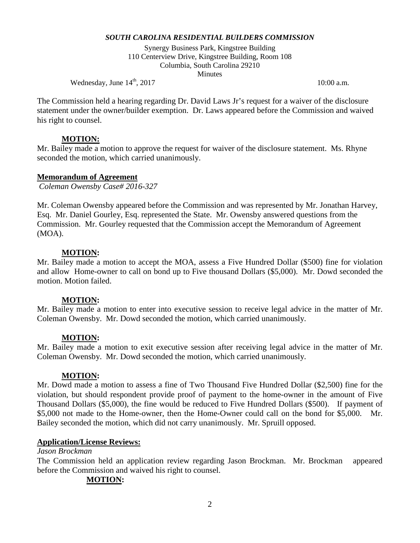Synergy Business Park, Kingstree Building 110 Centerview Drive, Kingstree Building, Room 108 Columbia, South Carolina 29210 **Minutes** 

Wednesday, June  $14^{\text{th}}$ , 2017 10:00 a.m.

The Commission held a hearing regarding Dr. David Laws Jr's request for a waiver of the disclosure statement under the owner/builder exemption. Dr. Laws appeared before the Commission and waived his right to counsel.

# **MOTION:**

Mr. Bailey made a motion to approve the request for waiver of the disclosure statement. Ms. Rhyne seconded the motion, which carried unanimously.

## **Memorandum of Agreement**

*Coleman Owensby Case# 2016-327*

Mr. Coleman Owensby appeared before the Commission and was represented by Mr. Jonathan Harvey, Esq. Mr. Daniel Gourley, Esq. represented the State. Mr. Owensby answered questions from the Commission. Mr. Gourley requested that the Commission accept the Memorandum of Agreement (MOA).

## **MOTION:**

Mr. Bailey made a motion to accept the MOA, assess a Five Hundred Dollar (\$500) fine for violation and allow Home-owner to call on bond up to Five thousand Dollars (\$5,000). Mr. Dowd seconded the motion. Motion failed.

# **MOTION:**

Mr. Bailey made a motion to enter into executive session to receive legal advice in the matter of Mr. Coleman Owensby. Mr. Dowd seconded the motion, which carried unanimously.

# **MOTION:**

Mr. Bailey made a motion to exit executive session after receiving legal advice in the matter of Mr. Coleman Owensby. Mr. Dowd seconded the motion, which carried unanimously.

# **MOTION:**

Mr. Dowd made a motion to assess a fine of Two Thousand Five Hundred Dollar (\$2,500) fine for the violation, but should respondent provide proof of payment to the home-owner in the amount of Five Thousand Dollars (\$5,000), the fine would be reduced to Five Hundred Dollars (\$500). If payment of \$5,000 not made to the Home-owner, then the Home-Owner could call on the bond for \$5,000. Mr. Bailey seconded the motion, which did not carry unanimously. Mr. Spruill opposed.

## **Application/License Reviews:**

## *Jason Brockman*

The Commission held an application review regarding Jason Brockman. Mr. Brockman appeared before the Commission and waived his right to counsel.

# **MOTION:**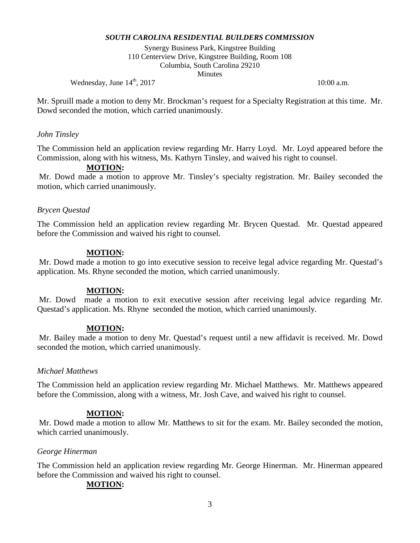Synergy Business Park, Kingstree Building 110 Centerview Drive, Kingstree Building, Room 108 Columbia, South Carolina 29210 **Minutes** 

Wednesday, June  $14^{\text{th}}$ , 2017 10:00 a.m.

Mr. Spruill made a motion to deny Mr. Brockman's request for a Specialty Registration at this time. Mr. Dowd seconded the motion, which carried unanimously.

## *John Tinsley*

The Commission held an application review regarding Mr. Harry Loyd. Mr. Loyd appeared before the Commission, along with his witness, Ms. Kathyrn Tinsley, and waived his right to counsel.

## **MOTION:**

Mr. Dowd made a motion to approve Mr. Tinsley's specialty registration. Mr. Bailey seconded the motion, which carried unanimously.

## *Brycen Questad*

The Commission held an application review regarding Mr. Brycen Questad. Mr. Questad appeared before the Commission and waived his right to counsel.

## **MOTION:**

Mr. Dowd made a motion to go into executive session to receive legal advice regarding Mr. Questad's application. Ms. Rhyne seconded the motion, which carried unanimously.

## **MOTION:**

Mr. Dowd made a motion to exit executive session after receiving legal advice regarding Mr. Questad's application. Ms. Rhyne seconded the motion, which carried unanimously.

## **MOTION:**

Mr. Bailey made a motion to deny Mr. Questad's request until a new affidavit is received. Mr. Dowd seconded the motion, which carried unanimously.

## *Michael Matthews*

The Commission held an application review regarding Mr. Michael Matthews. Mr. Matthews appeared before the Commission, along with a witness, Mr. Josh Cave, and waived his right to counsel.

## **MOTION:**

Mr. Dowd made a motion to allow Mr. Matthews to sit for the exam. Mr. Bailey seconded the motion, which carried unanimously.

## *George Hinerman*

The Commission held an application review regarding Mr. George Hinerman. Mr. Hinerman appeared before the Commission and waived his right to counsel.

# **MOTION:**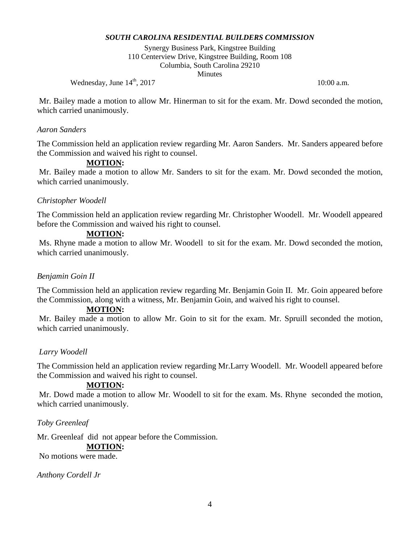Synergy Business Park, Kingstree Building 110 Centerview Drive, Kingstree Building, Room 108 Columbia, South Carolina 29210 **Minutes** 

Wednesday, June  $14^{\text{th}}$ , 2017 10:00 a.m.

Mr. Bailey made a motion to allow Mr. Hinerman to sit for the exam. Mr. Dowd seconded the motion, which carried unanimously.

### *Aaron Sanders*

The Commission held an application review regarding Mr. Aaron Sanders. Mr. Sanders appeared before the Commission and waived his right to counsel.

## **MOTION:**

Mr. Bailey made a motion to allow Mr. Sanders to sit for the exam. Mr. Dowd seconded the motion, which carried unanimously.

## *Christopher Woodell*

The Commission held an application review regarding Mr. Christopher Woodell. Mr. Woodell appeared before the Commission and waived his right to counsel.

## **MOTION:**

Ms. Rhyne made a motion to allow Mr. Woodell to sit for the exam. Mr. Dowd seconded the motion, which carried unanimously.

## *Benjamin Goin II*

The Commission held an application review regarding Mr. Benjamin Goin II. Mr. Goin appeared before the Commission, along with a witness, Mr. Benjamin Goin, and waived his right to counsel.

## **MOTION:**

Mr. Bailey made a motion to allow Mr. Goin to sit for the exam. Mr. Spruill seconded the motion, which carried unanimously.

# *Larry Woodell*

The Commission held an application review regarding Mr.Larry Woodell. Mr. Woodell appeared before the Commission and waived his right to counsel.

# **MOTION:**

Mr. Dowd made a motion to allow Mr. Woodell to sit for the exam. Ms. Rhyne seconded the motion, which carried unanimously.

## *Toby Greenleaf*

Mr. Greenleaf did not appear before the Commission.

## **MOTION:**

No motions were made.

*Anthony Cordell Jr*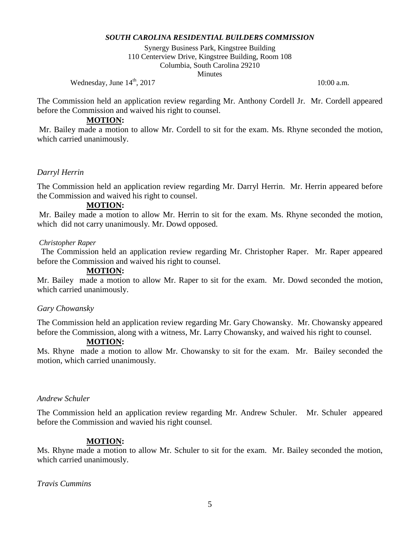Synergy Business Park, Kingstree Building 110 Centerview Drive, Kingstree Building, Room 108 Columbia, South Carolina 29210 **Minutes** 

Wednesday, June  $14^{\text{th}}$ , 2017 10:00 a.m.

The Commission held an application review regarding Mr. Anthony Cordell Jr. Mr. Cordell appeared before the Commission and waived his right to counsel.

### **MOTION:**

Mr. Bailey made a motion to allow Mr. Cordell to sit for the exam. Ms. Rhyne seconded the motion, which carried unanimously.

## *Darryl Herrin*

The Commission held an application review regarding Mr. Darryl Herrin. Mr. Herrin appeared before the Commission and waived his right to counsel.

### **MOTION:**

Mr. Bailey made a motion to allow Mr. Herrin to sit for the exam. Ms. Rhyne seconded the motion, which did not carry unanimously. Mr. Dowd opposed.

#### *Christopher Raper*

The Commission held an application review regarding Mr. Christopher Raper. Mr. Raper appeared before the Commission and waived his right to counsel.

#### **MOTION:**

Mr. Bailey made a motion to allow Mr. Raper to sit for the exam. Mr. Dowd seconded the motion, which carried unanimously.

#### *Gary Chowansky*

The Commission held an application review regarding Mr. Gary Chowansky. Mr. Chowansky appeared before the Commission, along with a witness, Mr. Larry Chowansky, and waived his right to counsel.

## **MOTION:**

Ms. Rhyne made a motion to allow Mr. Chowansky to sit for the exam. Mr. Bailey seconded the motion, which carried unanimously.

#### *Andrew Schuler*

The Commission held an application review regarding Mr. Andrew Schuler. Mr. Schuler appeared before the Commission and wavied his right counsel.

## **MOTION:**

Ms. Rhyne made a motion to allow Mr. Schuler to sit for the exam. Mr. Bailey seconded the motion, which carried unanimously.

*Travis Cummins*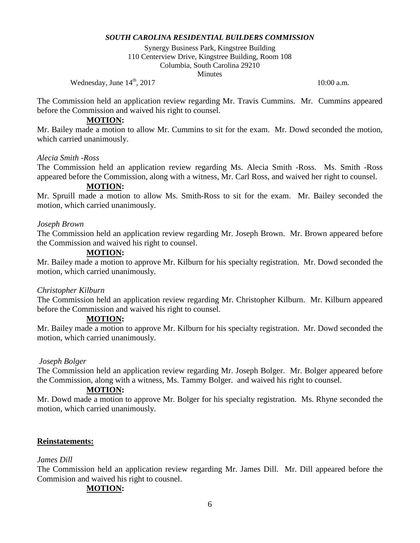Synergy Business Park, Kingstree Building 110 Centerview Drive, Kingstree Building, Room 108 Columbia, South Carolina 29210 **Minutes** 

Wednesday, June  $14^{\text{th}}$ , 2017 10:00 a.m.

The Commission held an application review regarding Mr. Travis Cummins. Mr. Cummins appeared before the Commission and waived his right to counsel.

#### **MOTION:**

Mr. Bailey made a motion to allow Mr. Cummins to sit for the exam. Mr. Dowd seconded the motion, which carried unanimously.

### *Alecia Smith -Ross*

The Commission held an application review regarding Ms. Alecia Smith -Ross. Ms. Smith -Ross appeared before the Commission, along with a witness, Mr. Carl Ross, and waived her right to counsel.

### **MOTION:**

Mr. Spruill made a motion to allow Ms. Smith-Ross to sit for the exam. Mr. Bailey seconded the motion, which carried unanimously.

### *Joseph Brown*

The Commission held an application review regarding Mr. Joseph Brown. Mr. Brown appeared before the Commission and waived his right to counsel.

## **MOTION:**

Mr. Bailey made a motion to approve Mr. Kilburn for his specialty registration. Mr. Dowd seconded the motion, which carried unanimously.

#### *Christopher Kilburn*

The Commission held an application review regarding Mr. Christopher Kilburn. Mr. Kilburn appeared before the Commission and waived his right to counsel.

## **MOTION:**

Mr. Bailey made a motion to approve Mr. Kilburn for his specialty registration. Mr. Dowd seconded the motion, which carried unanimously.

#### *Joseph Bolger*

The Commission held an application review regarding Mr. Joseph Bolger. Mr. Bolger appeared before the Commission, along with a witness, Ms. Tammy Bolger. and waived his right to counsel.

#### **MOTION:**

Mr. Dowd made a motion to approve Mr. Bolger for his specialty registration. Ms. Rhyne seconded the motion, which carried unanimously.

## **Reinstatements:**

#### *James Dill*

The Commission held an application review regarding Mr. James Dill. Mr. Dill appeared before the Commision and waived his right to cousnel.

## **MOTION:**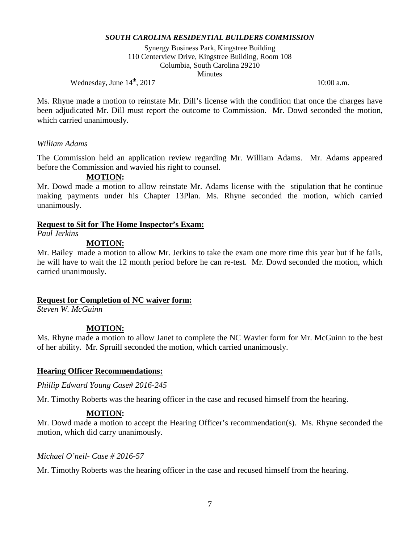Synergy Business Park, Kingstree Building 110 Centerview Drive, Kingstree Building, Room 108 Columbia, South Carolina 29210 **Minutes** 

Wednesday, June  $14^{\text{th}}$ , 2017 10:00 a.m.

Ms. Rhyne made a motion to reinstate Mr. Dill's license with the condition that once the charges have been adjudicated Mr. Dill must report the outcome to Commission. Mr. Dowd seconded the motion, which carried unanimously.

## *William Adams*

The Commission held an application review regarding Mr. William Adams. Mr. Adams appeared before the Commission and wavied his right to counsel.

## **MOTION:**

Mr. Dowd made a motion to allow reinstate Mr. Adams license with the stipulation that he continue making payments under his Chapter 13Plan. Ms. Rhyne seconded the motion, which carried unanimously.

## **Request to Sit for The Home Inspector's Exam:**

*Paul Jerkins*

# **MOTION:**

Mr. Bailey made a motion to allow Mr. Jerkins to take the exam one more time this year but if he fails, he will have to wait the 12 month period before he can re-test. Mr. Dowd seconded the motion, which carried unanimously.

## **Request for Completion of NC waiver form:**

*Steven W. McGuinn*

# **MOTION:**

Ms. Rhyne made a motion to allow Janet to complete the NC Wavier form for Mr. McGuinn to the best of her ability. Mr. Spruill seconded the motion, which carried unanimously.

# **Hearing Officer Recommendations:**

*Phillip Edward Young Case# 2016-245*

Mr. Timothy Roberts was the hearing officer in the case and recused himself from the hearing.

# **MOTION:**

Mr. Dowd made a motion to accept the Hearing Officer's recommendation(s). Ms. Rhyne seconded the motion, which did carry unanimously.

## *Michael O'neil- Case # 2016-57*

Mr. Timothy Roberts was the hearing officer in the case and recused himself from the hearing.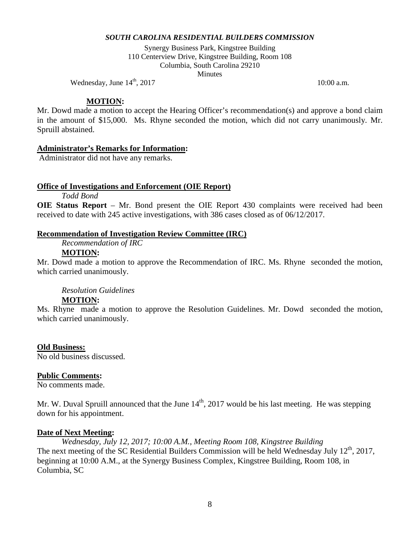Synergy Business Park, Kingstree Building 110 Centerview Drive, Kingstree Building, Room 108 Columbia, South Carolina 29210 **Minutes** 

Wednesday, June  $14^{\text{th}}$ , 2017 10:00 a.m.

### **MOTION:**

Mr. Dowd made a motion to accept the Hearing Officer's recommendation(s) and approve a bond claim in the amount of \$15,000. Ms. Rhyne seconded the motion, which did not carry unanimously. Mr. Spruill abstained.

## **Administrator's Remarks for Information:**

Administrator did not have any remarks.

## **Office of Investigations and Enforcement (OIE Report)**

*Todd Bond*

**OIE Status Report** – Mr. Bond present the OIE Report 430 complaints were received had been received to date with 245 active investigations, with 386 cases closed as of 06/12/2017.

## **Recommendation of Investigation Review Committee (IRC)**

*Recommendation of IRC* 

## **MOTION:**

Mr. Dowd made a motion to approve the Recommendation of IRC. Ms. Rhyne seconded the motion, which carried unanimously.

## *Resolution Guidelines*

## **MOTION:**

Ms. Rhyne made a motion to approve the Resolution Guidelines. Mr. Dowd seconded the motion, which carried unanimously.

## **Old Business:**

No old business discussed.

## **Public Comments:**

No comments made.

Mr. W. Duval Spruill announced that the June  $14<sup>th</sup>$ , 2017 would be his last meeting. He was stepping down for his appointment.

## **Date of Next Meeting:**

*Wednesday, July 12, 2017; 10:00 A.M., Meeting Room 108, Kingstree Building* The next meeting of the SC Residential Builders Commission will be held Wednesday July 12<sup>th</sup>, 2017, beginning at 10:00 A.M., at the Synergy Business Complex, Kingstree Building, Room 108, in Columbia, SC